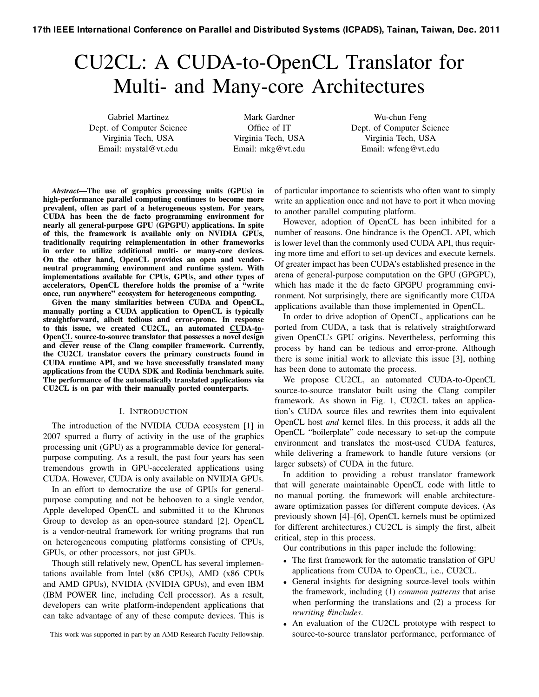# CU2CL: A CUDA-to-OpenCL Translator for Multi- and Many-core Architectures

Gabriel Martinez Dept. of Computer Science Virginia Tech, USA Email: mystal@vt.edu

Mark Gardner Office of IT Virginia Tech, USA Email: mkg@vt.edu

Wu-chun Feng Dept. of Computer Science Virginia Tech, USA Email: wfeng@vt.edu

*Abstract*—The use of graphics processing units (GPUs) in high-performance parallel computing continues to become more prevalent, often as part of a heterogeneous system. For years, CUDA has been the de facto programming environment for nearly all general-purpose GPU (GPGPU) applications. In spite of this, the framework is available only on NVIDIA GPUs, traditionally requiring reimplementation in other frameworks in order to utilize additional multi- or many-core devices. On the other hand, OpenCL provides an open and vendorneutral programming environment and runtime system. With implementations available for CPUs, GPUs, and other types of accelerators, OpenCL therefore holds the promise of a "write once, run anywhere" ecosystem for heterogeneous computing.

Given the many similarities between CUDA and OpenCL, manually porting a CUDA application to OpenCL is typically straightforward, albeit tedious and error-prone. In response to this issue, we created CU2CL, an automated CUDA-to-OpenCL source-to-source translator that possesses a novel design and clever reuse of the Clang compiler framework. Currently, the CU2CL translator covers the primary constructs found in CUDA runtime API, and we have successfully translated many applications from the CUDA SDK and Rodinia benchmark suite. The performance of the automatically translated applications via CU2CL is on par with their manually ported counterparts.

## I. INTRODUCTION

The introduction of the NVIDIA CUDA ecosystem [1] in 2007 spurred a flurry of activity in the use of the graphics processing unit (GPU) as a programmable device for generalpurpose computing. As a result, the past four years has seen tremendous growth in GPU-accelerated applications using CUDA. However, CUDA is only available on NVIDIA GPUs.

In an effort to democratize the use of GPUs for generalpurpose computing and not be behooven to a single vendor, Apple developed OpenCL and submitted it to the Khronos Group to develop as an open-source standard [2]. OpenCL is a vendor-neutral framework for writing programs that run on heterogeneous computing platforms consisting of CPUs, GPUs, or other processors, not just GPUs.

Though still relatively new, OpenCL has several implementations available from Intel (x86 CPUs), AMD (x86 CPUs and AMD GPUs), NVIDIA (NVIDIA GPUs), and even IBM (IBM POWER line, including Cell processor). As a result, developers can write platform-independent applications that can take advantage of any of these compute devices. This is

This work was supported in part by an AMD Research Faculty Fellowship.

of particular importance to scientists who often want to simply write an application once and not have to port it when moving to another parallel computing platform.

However, adoption of OpenCL has been inhibited for a number of reasons. One hindrance is the OpenCL API, which is lower level than the commonly used CUDA API, thus requiring more time and effort to set-up devices and execute kernels. Of greater impact has been CUDA's established presence in the arena of general-purpose computation on the GPU (GPGPU), which has made it the de facto GPGPU programming environment. Not surprisingly, there are significantly more CUDA applications available than those implemented in OpenCL.

In order to drive adoption of OpenCL, applications can be ported from CUDA, a task that is relatively straightforward given OpenCL's GPU origins. Nevertheless, performing this process by hand can be tedious and error-prone. Although there is some initial work to alleviate this issue [3], nothing has been done to automate the process.

We propose CU2CL, an automated CUDA-to-OpenCL source-to-source translator built using the Clang compiler framework. As shown in Fig. 1, CU2CL takes an application's CUDA source files and rewrites them into equivalent OpenCL host *and* kernel files. In this process, it adds all the OpenCL "boilerplate" code necessary to set-up the compute environment and translates the most-used CUDA features, while delivering a framework to handle future versions (or larger subsets) of CUDA in the future.

In addition to providing a robust translator framework that will generate maintainable OpenCL code with little to no manual porting. the framework will enable architectureaware optimization passes for different compute devices. (As previously shown [4]–[6], OpenCL kernels must be optimized for different architectures.) CU2CL is simply the first, albeit critical, step in this process.

Our contributions in this paper include the following:

- *•* The first framework for the automatic translation of GPU applications from CUDA to OpenCL, i.e., CU2CL.
- *•* General insights for designing source-level tools within the framework, including (1) *common patterns* that arise when performing the translations and (2) a process for *rewriting #includes*.
- *•* An evaluation of the CU2CL prototype with respect to source-to-source translator performance, performance of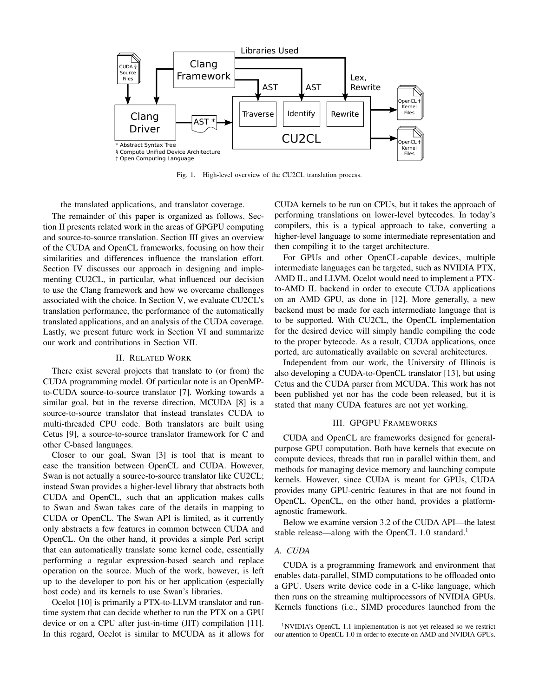

Fig. 1. High-level overview of the CU2CL translation process.

the translated applications, and translator coverage.

The remainder of this paper is organized as follows. Section II presents related work in the areas of GPGPU computing and source-to-source translation. Section III gives an overview of the CUDA and OpenCL frameworks, focusing on how their similarities and differences influence the translation effort. Section IV discusses our approach in designing and implementing CU2CL, in particular, what influenced our decision to use the Clang framework and how we overcame challenges associated with the choice. In Section V, we evaluate CU2CL's translation performance, the performance of the automatically translated applications, and an analysis of the CUDA coverage. Lastly, we present future work in Section VI and summarize our work and contributions in Section VII.

## II. RELATED WORK

There exist several projects that translate to (or from) the CUDA programming model. Of particular note is an OpenMPto-CUDA source-to-source translator [7]. Working towards a similar goal, but in the reverse direction, MCUDA [8] is a source-to-source translator that instead translates CUDA to multi-threaded CPU code. Both translators are built using Cetus [9], a source-to-source translator framework for C and other C-based languages.

Closer to our goal, Swan [3] is tool that is meant to ease the transition between OpenCL and CUDA. However, Swan is not actually a source-to-source translator like CU2CL; instead Swan provides a higher-level library that abstracts both CUDA and OpenCL, such that an application makes calls to Swan and Swan takes care of the details in mapping to CUDA or OpenCL. The Swan API is limited, as it currently only abstracts a few features in common between CUDA and OpenCL. On the other hand, it provides a simple Perl script that can automatically translate some kernel code, essentially performing a regular expression-based search and replace operation on the source. Much of the work, however, is left up to the developer to port his or her application (especially host code) and its kernels to use Swan's libraries.

Ocelot [10] is primarily a PTX-to-LLVM translator and runtime system that can decide whether to run the PTX on a GPU device or on a CPU after just-in-time (JIT) compilation [11]. In this regard, Ocelot is similar to MCUDA as it allows for CUDA kernels to be run on CPUs, but it takes the approach of performing translations on lower-level bytecodes. In today's compilers, this is a typical approach to take, converting a higher-level language to some intermediate representation and then compiling it to the target architecture.

For GPUs and other OpenCL-capable devices, multiple intermediate languages can be targeted, such as NVIDIA PTX, AMD IL, and LLVM. Ocelot would need to implement a PTXto-AMD IL backend in order to execute CUDA applications on an AMD GPU, as done in [12]. More generally, a new backend must be made for each intermediate language that is to be supported. With CU2CL, the OpenCL implementation for the desired device will simply handle compiling the code to the proper bytecode. As a result, CUDA applications, once ported, are automatically available on several architectures.

Independent from our work, the University of Illinois is also developing a CUDA-to-OpenCL translator [13], but using Cetus and the CUDA parser from MCUDA. This work has not been published yet nor has the code been released, but it is stated that many CUDA features are not yet working.

#### III. GPGPU FRAMEWORKS

CUDA and OpenCL are frameworks designed for generalpurpose GPU computation. Both have kernels that execute on compute devices, threads that run in parallel within them, and methods for managing device memory and launching compute kernels. However, since CUDA is meant for GPUs, CUDA provides many GPU-centric features in that are not found in OpenCL. OpenCL, on the other hand, provides a platformagnostic framework.

Below we examine version 3.2 of the CUDA API—the latest stable release—along with the OpenCL 1.0 standard.<sup>1</sup>

## *A. CUDA*

CUDA is a programming framework and environment that enables data-parallel, SIMD computations to be offloaded onto a GPU. Users write device code in a C-like language, which then runs on the streaming multiprocessors of NVIDIA GPUs. Kernels functions (i.e., SIMD procedures launched from the

<sup>&</sup>lt;sup>1</sup>NVIDIA's OpenCL 1.1 implementation is not yet released so we restrict our attention to OpenCL 1.0 in order to execute on AMD and NVIDIA GPUs.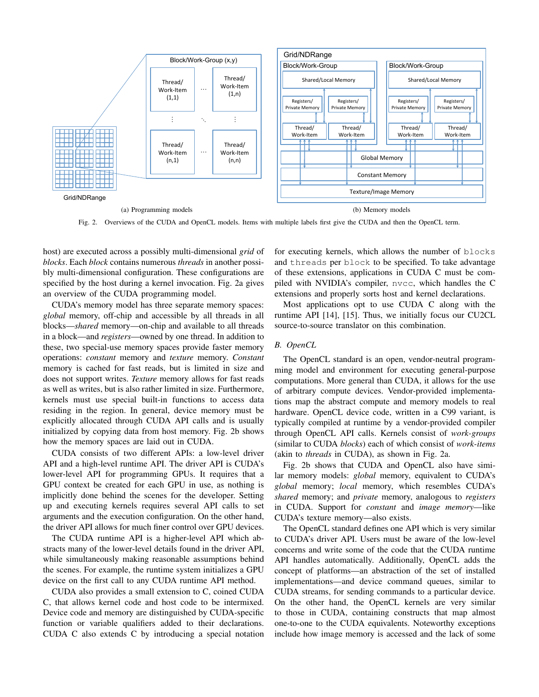

Fig. 2. Overviews of the CUDA and OpenCL models. Items with multiple labels first give the CUDA and then the OpenCL term.

host) are executed across a possibly multi-dimensional *grid* of *blocks*. Each *block* contains numerous *threads* in another possibly multi-dimensional configuration. These configurations are specified by the host during a kernel invocation. Fig. 2a gives an overview of the CUDA programming model.

CUDA's memory model has three separate memory spaces: *global* memory, off-chip and accessible by all threads in all blocks—*shared* memory—on-chip and available to all threads in a block—and *registers*—owned by one thread. In addition to these, two special-use memory spaces provide faster memory operations: *constant* memory and *texture* memory. *Constant* memory is cached for fast reads, but is limited in size and does not support writes. *Texture* memory allows for fast reads as well as writes, but is also rather limited in size. Furthermore, kernels must use special built-in functions to access data residing in the region. In general, device memory must be explicitly allocated through CUDA API calls and is usually initialized by copying data from host memory. Fig. 2b shows how the memory spaces are laid out in CUDA.

CUDA consists of two different APIs: a low-level driver API and a high-level runtime API. The driver API is CUDA's lower-level API for programming GPUs. It requires that a GPU context be created for each GPU in use, as nothing is implicitly done behind the scenes for the developer. Setting up and executing kernels requires several API calls to set arguments and the execution configuration. On the other hand, the driver API allows for much finer control over GPU devices.

The CUDA runtime API is a higher-level API which abstracts many of the lower-level details found in the driver API, while simultaneously making reasonable assumptions behind the scenes. For example, the runtime system initializes a GPU device on the first call to any CUDA runtime API method.

CUDA also provides a small extension to C, coined CUDA C, that allows kernel code and host code to be intermixed. Device code and memory are distinguished by CUDA-specific function or variable qualifiers added to their declarations. CUDA C also extends C by introducing a special notation for executing kernels, which allows the number of blocks and threads per block to be specified. To take advantage of these extensions, applications in CUDA C must be compiled with NVIDIA's compiler, nvcc, which handles the C extensions and properly sorts host and kernel declarations.

Most applications opt to use CUDA C along with the runtime API [14], [15]. Thus, we initially focus our CU2CL source-to-source translator on this combination.

#### *B. OpenCL*

The OpenCL standard is an open, vendor-neutral programming model and environment for executing general-purpose computations. More general than CUDA, it allows for the use of arbitrary compute devices. Vendor-provided implementations map the abstract compute and memory models to real hardware. OpenCL device code, written in a C99 variant, is typically compiled at runtime by a vendor-provided compiler through OpenCL API calls. Kernels consist of *work-groups* (similar to CUDA *blocks*) each of which consist of *work-items* (akin to *threads* in CUDA), as shown in Fig. 2a.

Fig. 2b shows that CUDA and OpenCL also have similar memory models: *global* memory, equivalent to CUDA's *global* memory; *local* memory, which resembles CUDA's *shared* memory; and *private* memory, analogous to *registers* in CUDA. Support for *constant* and *image memory*—like CUDA's texture memory—also exists.

The OpenCL standard defines one API which is very similar to CUDA's driver API. Users must be aware of the low-level concerns and write some of the code that the CUDA runtime API handles automatically. Additionally, OpenCL adds the concept of platforms—an abstraction of the set of installed implementations—and device command queues, similar to CUDA streams, for sending commands to a particular device. On the other hand, the OpenCL kernels are very similar to those in CUDA, containing constructs that map almost one-to-one to the CUDA equivalents. Noteworthy exceptions include how image memory is accessed and the lack of some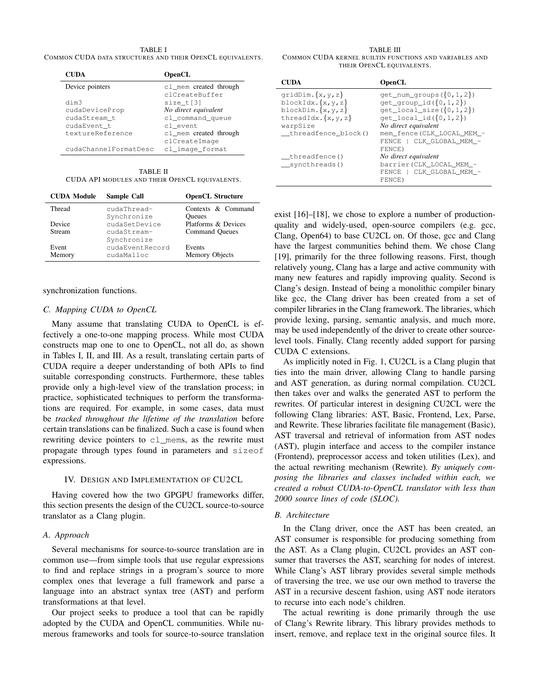TABLE I COMMON CUDA DATA STRUCTURES AND THEIR OPENCL EQUIVALENTS.

| <b>CUDA</b>           | <b>OpenCL</b>          |
|-----------------------|------------------------|
| Device pointers       | cl_mem created through |
|                       | clCreateBuffer         |
| dim3                  | size $t[3]$            |
| cudaDeviceProp        | No direct equivalent   |
| cudaStream t          | cl command queue       |
| cudaEvent t           | cl event               |
| textureReference      | cl_mem created through |
|                       | clCreateImage          |
| cudaChannelFormatDesc | cl image format        |

TABLE II CUDA API MODULES AND THEIR OPENCL EQUIVALENTS.

| <b>CUDA Module</b> | Sample Call     | <b>OpenCL Structure</b> |
|--------------------|-----------------|-------------------------|
| Thread             | cudaThread-     | Contexts & Command      |
|                    | Synchronize     | <b>Oueues</b>           |
| Device             | cudaSetDevice   | Platforms & Devices     |
| <b>Stream</b>      | cudaStream-     | <b>Command Queues</b>   |
|                    | Synchronize     |                         |
| Event              | cudaEventRecord | Events                  |
| Memory             | cudaMalloc      | Memory Objects          |

synchronization functions.

## *C. Mapping CUDA to OpenCL*

Many assume that translating CUDA to OpenCL is effectively a one-to-one mapping process. While most CUDA constructs map one to one to OpenCL, not all do, as shown in Tables I, II, and III. As a result, translating certain parts of CUDA require a deeper understanding of both APIs to find suitable corresponding constructs. Furthermore, these tables provide only a high-level view of the translation process; in practice, sophisticated techniques to perform the transformations are required. For example, in some cases, data must be *tracked throughout the lifetime of the translation* before certain translations can be finalized. Such a case is found when rewriting device pointers to cl\_mems, as the rewrite must propagate through types found in parameters and sizeof expressions.

#### IV. DESIGN AND IMPLEMENTATION OF CU2CL

Having covered how the two GPGPU frameworks differ, this section presents the design of the CU2CL source-to-source translator as a Clang plugin.

#### *A. Approach*

Several mechanisms for source-to-source translation are in common use—from simple tools that use regular expressions to find and replace strings in a program's source to more complex ones that leverage a full framework and parse a language into an abstract syntax tree (AST) and perform transformations at that level.

Our project seeks to produce a tool that can be rapidly adopted by the CUDA and OpenCL communities. While numerous frameworks and tools for source-to-source translation

TABLE III COMMON CUDA KERNEL BUILTIN FUNCTIONS AND VARIABLES AND THEIR OPENCL EQUIVALENTS.

| <b>CUDA</b>                                                                                                    | <b>OpenCL</b>                                                                                                                                 |
|----------------------------------------------------------------------------------------------------------------|-----------------------------------------------------------------------------------------------------------------------------------------------|
| $gridDim.$ {x, y, z}<br>blockIdx. $\{x,y,z\}$<br>blockDim. $\{x, y, z\}$<br>threadIdx. $\{x,y,z\}$<br>warpSize | $qet_num_qrows(\{0,1,2\})$<br>$get_qroup_id({0,1,2})$<br>$get\_local\_size({0, 1, 2})$<br>$get\_local\_id({0, 1, 2})$<br>No direct equivalent |
| threadfence block()                                                                                            | mem_fence(CLK_LOCAL_MEM_-<br>FENCE   CLK GLOBAL MEM -<br>FENCE)                                                                               |
| threadfence()<br>__syncthreads()                                                                               | No direct equivalent<br>barrier (CLK LOCAL MEM -<br>FENCE   CLK GLOBAL MEM -<br>FENCE)                                                        |

exist [16]–[18], we chose to explore a number of productionquality and widely-used, open-source compilers (e.g. gcc, Clang, Open64) to base CU2CL on. Of those, gcc and Clang have the largest communities behind them. We chose Clang [19], primarily for the three following reasons. First, though relatively young, Clang has a large and active community with many new features and rapidly improving quality. Second is Clang's design. Instead of being a monolithic compiler binary like gcc, the Clang driver has been created from a set of compiler libraries in the Clang framework. The libraries, which provide lexing, parsing, semantic analysis, and much more, may be used independently of the driver to create other sourcelevel tools. Finally, Clang recently added support for parsing CUDA C extensions.

As implicitly noted in Fig. 1, CU2CL is a Clang plugin that ties into the main driver, allowing Clang to handle parsing and AST generation, as during normal compilation. CU2CL then takes over and walks the generated AST to perform the rewrites. Of particular interest in designing CU2CL were the following Clang libraries: AST, Basic, Frontend, Lex, Parse, and Rewrite. These libraries facilitate file management (Basic), AST traversal and retrieval of information from AST nodes (AST), plugin interface and access to the compiler instance (Frontend), preprocessor access and token utilities (Lex), and the actual rewriting mechanism (Rewrite). *By uniquely composing the libraries and classes included within each, we created a robust CUDA-to-OpenCL translator with less than 2000 source lines of code (SLOC).*

#### *B. Architecture*

In the Clang driver, once the AST has been created, an AST consumer is responsible for producing something from the AST. As a Clang plugin, CU2CL provides an AST consumer that traverses the AST, searching for nodes of interest. While Clang's AST library provides several simple methods of traversing the tree, we use our own method to traverse the AST in a recursive descent fashion, using AST node iterators to recurse into each node's children.

The actual rewriting is done primarily through the use of Clang's Rewrite library. This library provides methods to insert, remove, and replace text in the original source files. It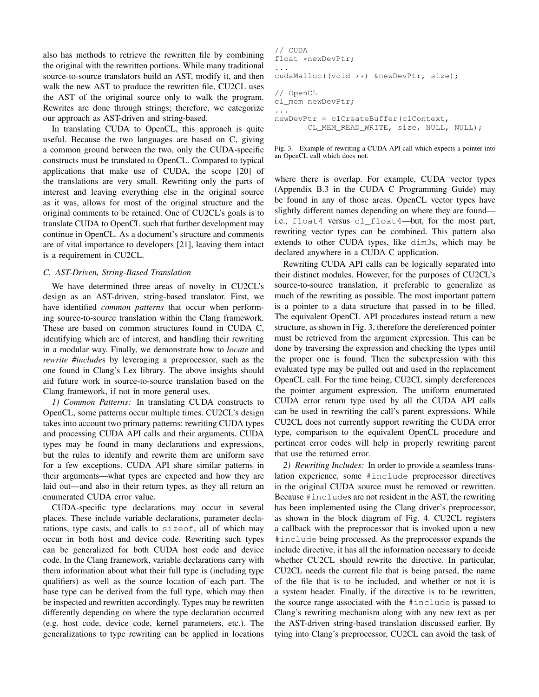also has methods to retrieve the rewritten file by combining the original with the rewritten portions. While many traditional source-to-source translators build an AST, modify it, and then walk the new AST to produce the rewritten file, CU2CL uses the AST of the original source only to walk the program. Rewrites are done through strings; therefore, we categorize our approach as AST-driven and string-based.

In translating CUDA to OpenCL, this approach is quite useful. Because the two languages are based on C, giving a common ground between the two, only the CUDA-specific constructs must be translated to OpenCL. Compared to typical applications that make use of CUDA, the scope [20] of the translations are very small. Rewriting only the parts of interest and leaving everything else in the original source as it was, allows for most of the original structure and the original comments to be retained. One of CU2CL's goals is to translate CUDA to OpenCL such that further development may continue in OpenCL. As a document's structure and comments are of vital importance to developers [21], leaving them intact is a requirement in CU2CL.

## *C. AST-Driven, String-Based Translation*

We have determined three areas of novelty in CU2CL's design as an AST-driven, string-based translator. First, we have identified *common patterns* that occur when performing source-to-source translation within the Clang framework. These are based on common structures found in CUDA C, identifying which are of interest, and handling their rewriting in a modular way. Finally, we demonstrate how to *locate* and *rewrite #include*s by leveraging a preprocessor, such as the one found in Clang's Lex library. The above insights should aid future work in source-to-source translation based on the Clang framework, if not in more general uses.

*1) Common Patterns:* In translating CUDA constructs to OpenCL, some patterns occur multiple times. CU2CL's design takes into account two primary patterns: rewriting CUDA types and processing CUDA API calls and their arguments. CUDA types may be found in many declarations and expressions, but the rules to identify and rewrite them are uniform save for a few exceptions. CUDA API share similar patterns in their arguments—what types are expected and how they are laid out—and also in their return types, as they all return an enumerated CUDA error value.

CUDA-specific type declarations may occur in several places. These include variable declarations, parameter declarations, type casts, and calls to sizeof, all of which may occur in both host and device code. Rewriting such types can be generalized for both CUDA host code and device code. In the Clang framework, variable declarations carry with them information about what their full type is (including type qualifiers) as well as the source location of each part. The base type can be derived from the full type, which may then be inspected and rewritten accordingly. Types may be rewritten differently depending on where the type declaration occurred (e.g. host code, device code, kernel parameters, etc.). The generalizations to type rewriting can be applied in locations

```
// CUDA
float *newDevPtr;
...
cudaMalloc((void **) &newDevPtr, size);
// OpenCL
cl_mem newDevPtr;
...
newDevPtr = clCreateBuffer(clContext,
       CL_MEM_READ_WRITE, size, NULL, NULL);
```
Fig. 3. Example of rewriting a CUDA API call which expects a pointer into an OpenCL call which does not.

where there is overlap. For example, CUDA vector types (Appendix B.3 in the CUDA C Programming Guide) may be found in any of those areas. OpenCL vector types have slightly different names depending on where they are found i.e., float4 versus cl\_float4—but, for the most part, rewriting vector types can be combined. This pattern also extends to other CUDA types, like dim3s, which may be declared anywhere in a CUDA C application.

Rewriting CUDA API calls can be logically separated into their distinct modules. However, for the purposes of CU2CL's source-to-source translation, it preferable to generalize as much of the rewriting as possible. The most important pattern is a pointer to a data structure that passed in to be filled. The equivalent OpenCL API procedures instead return a new structure, as shown in Fig. 3, therefore the dereferenced pointer must be retrieved from the argument expression. This can be done by traversing the expression and checking the types until the proper one is found. Then the subexpression with this evaluated type may be pulled out and used in the replacement OpenCL call. For the time being, CU2CL simply dereferences the pointer argument expression. The uniform enumerated CUDA error return type used by all the CUDA API calls can be used in rewriting the call's parent expressions. While CU2CL does not currently support rewriting the CUDA error type, comparison to the equivalent OpenCL procedure and pertinent error codes will help in properly rewriting parent that use the returned error.

*2) Rewriting Includes:* In order to provide a seamless translation experience, some #include preprocessor directives in the original CUDA source must be removed or rewritten. Because #includes are not resident in the AST, the rewriting has been implemented using the Clang driver's preprocessor, as shown in the block diagram of Fig. 4. CU2CL registers a callback with the preprocessor that is invoked upon a new #include being processed. As the preprocessor expands the include directive, it has all the information necessary to decide whether CU2CL should rewrite the directive. In particular, CU2CL needs the current file that is being parsed, the name of the file that is to be included, and whether or not it is a system header. Finally, if the directive is to be rewritten, the source range associated with the #include is passed to Clang's rewriting mechanism along with any new text as per the AST-driven string-based translation discussed earlier. By tying into Clang's preprocessor, CU2CL can avoid the task of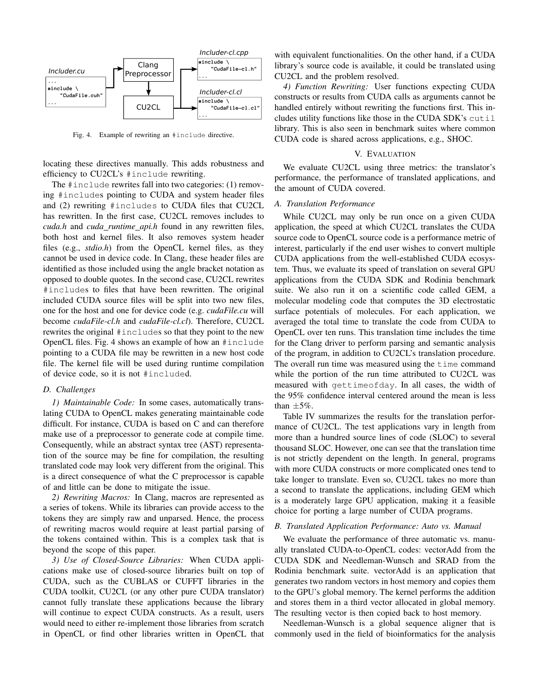

Fig. 4. Example of rewriting an #include directive.

locating these directives manually. This adds robustness and efficiency to CU2CL's #include rewriting.

The #include rewrites fall into two categories: (1) removing #includes pointing to CUDA and system header files and (2) rewriting #includes to CUDA files that CU2CL has rewritten. In the first case, CU2CL removes includes to *cuda.h* and *cuda runtime api.h* found in any rewritten files, both host and kernel files. It also removes system header files (e.g., *stdio.h*) from the OpenCL kernel files, as they cannot be used in device code. In Clang, these header files are identified as those included using the angle bracket notation as opposed to double quotes. In the second case, CU2CL rewrites #includes to files that have been rewritten. The original included CUDA source files will be split into two new files, one for the host and one for device code (e.g. *cudaFile.cu* will become *cudaFile-cl.h* and *cudaFile-cl.cl*). Therefore, CU2CL rewrites the original #includes so that they point to the new OpenCL files. Fig. 4 shows an example of how an #include pointing to a CUDA file may be rewritten in a new host code file. The kernel file will be used during runtime compilation of device code, so it is not #included.

#### *D. Challenges*

*1) Maintainable Code:* In some cases, automatically translating CUDA to OpenCL makes generating maintainable code difficult. For instance, CUDA is based on C and can therefore make use of a preprocessor to generate code at compile time. Consequently, while an abstract syntax tree (AST) representation of the source may be fine for compilation, the resulting translated code may look very different from the original. This is a direct consequence of what the C preprocessor is capable of and little can be done to mitigate the issue.

*2) Rewriting Macros:* In Clang, macros are represented as a series of tokens. While its libraries can provide access to the tokens they are simply raw and unparsed. Hence, the process of rewriting macros would require at least partial parsing of the tokens contained within. This is a complex task that is beyond the scope of this paper.

*3) Use of Closed-Source Libraries:* When CUDA applications make use of closed-source libraries built on top of CUDA, such as the CUBLAS or CUFFT libraries in the CUDA toolkit, CU2CL (or any other pure CUDA translator) cannot fully translate these applications because the library will continue to expect CUDA constructs. As a result, users would need to either re-implement those libraries from scratch in OpenCL or find other libraries written in OpenCL that

with equivalent functionalities. On the other hand, if a CUDA library's source code is available, it could be translated using CU2CL and the problem resolved.

*4) Function Rewriting:* User functions expecting CUDA constructs or results from CUDA calls as arguments cannot be handled entirely without rewriting the functions first. This includes utility functions like those in the CUDA SDK's cutil library. This is also seen in benchmark suites where common CUDA code is shared across applications, e.g., SHOC.

## V. EVALUATION

We evaluate CU2CL using three metrics: the translator's performance, the performance of translated applications, and the amount of CUDA covered.

#### *A. Translation Performance*

While CU2CL may only be run once on a given CUDA application, the speed at which CU2CL translates the CUDA source code to OpenCL source code is a performance metric of interest, particularly if the end user wishes to convert multiple CUDA applications from the well-established CUDA ecosystem. Thus, we evaluate its speed of translation on several GPU applications from the CUDA SDK and Rodinia benchmark suite. We also run it on a scientific code called GEM, a molecular modeling code that computes the 3D electrostatic surface potentials of molecules. For each application, we averaged the total time to translate the code from CUDA to OpenCL over ten runs. This translation time includes the time for the Clang driver to perform parsing and semantic analysis of the program, in addition to CU2CL's translation procedure. The overall run time was measured using the time command while the portion of the run time attributed to CU2CL was measured with gettimeofday. In all cases, the width of the 95% confidence interval centered around the mean is less than  $\pm$ 5%.

Table IV summarizes the results for the translation performance of CU2CL. The test applications vary in length from more than a hundred source lines of code (SLOC) to several thousand SLOC. However, one can see that the translation time is not strictly dependent on the length. In general, programs with more CUDA constructs or more complicated ones tend to take longer to translate. Even so, CU2CL takes no more than a second to translate the applications, including GEM which is a moderately large GPU application, making it a feasible choice for porting a large number of CUDA programs.

#### *B. Translated Application Performance: Auto vs. Manual*

We evaluate the performance of three automatic vs. manually translated CUDA-to-OpenCL codes: vectorAdd from the CUDA SDK and Needleman-Wunsch and SRAD from the Rodinia benchmark suite. vectorAdd is an application that generates two random vectors in host memory and copies them to the GPU's global memory. The kernel performs the addition and stores them in a third vector allocated in global memory. The resulting vector is then copied back to host memory.

Needleman-Wunsch is a global sequence aligner that is commonly used in the field of bioinformatics for the analysis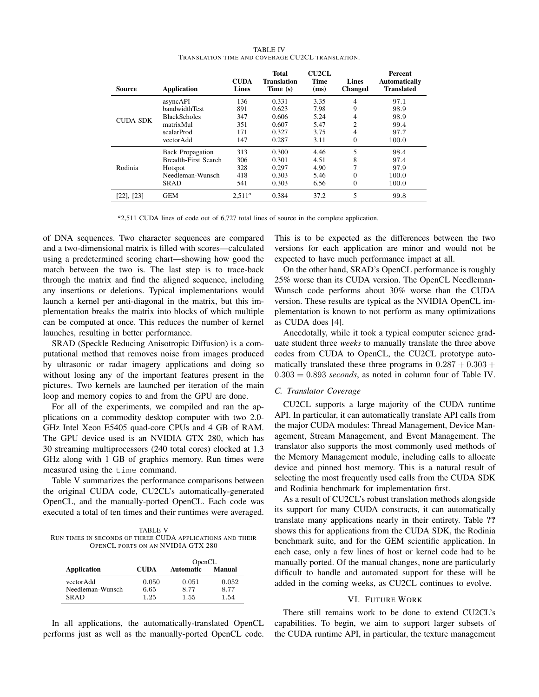| <b>TABLE IV</b>                                  |  |
|--------------------------------------------------|--|
| TRANSLATION TIME AND COVERAGE CU2CL TRANSLATION. |  |

| Source          | <b>Application</b>          | <b>CUDA</b><br><b>Lines</b> | <b>Total</b><br><b>Translation</b><br>Time (s) | <b>CU2CL</b><br><b>Time</b><br>(ms) | <b>Lines</b><br><b>Changed</b> | Percent<br><b>Automatically</b><br><b>Translated</b> |
|-----------------|-----------------------------|-----------------------------|------------------------------------------------|-------------------------------------|--------------------------------|------------------------------------------------------|
| <b>CUDA SDK</b> | asyncAPI                    | 136                         | 0.331                                          | 3.35                                | 4                              | 97.1                                                 |
|                 | bandwidthTest               | 891                         | 0.623                                          | 7.98                                | 9                              | 98.9                                                 |
|                 | <b>BlackScholes</b>         | 347                         | 0.606                                          | 5.24                                | 4                              | 98.9                                                 |
|                 | matrixMul                   | 351                         | 0.607                                          | 5.47                                | 2                              | 99.4                                                 |
|                 | scalarProd                  | 171                         | 0.327                                          | 3.75                                | 4                              | 97.7                                                 |
|                 | vectorAdd                   | 147                         | 0.287                                          | 3.11                                | $\Omega$                       | 100.0                                                |
| Rodinia         | <b>Back Propagation</b>     | 313                         | 0.300                                          | 4.46                                | 5                              | 98.4                                                 |
|                 | <b>Breadth-First Search</b> | 306                         | 0.301                                          | 4.51                                | 8                              | 97.4                                                 |
|                 | Hotspot                     | 328                         | 0.297                                          | 4.90                                | 7                              | 97.9                                                 |
|                 | Needleman-Wunsch            | 418                         | 0.303                                          | 5.46                                | 0                              | 100.0                                                |
|                 | SRAD                        | 541                         | 0.303                                          | 6.56                                | 0                              | 100.0                                                |
| $[22]$ , $[23]$ | <b>GEM</b>                  | $2,511^a$                   | 0.384                                          | 37.2                                | 5                              | 99.8                                                 |

<sup>a</sup>2,511 CUDA lines of code out of 6,727 total lines of source in the complete application.

of DNA sequences. Two character sequences are compared and a two-dimensional matrix is filled with scores—calculated using a predetermined scoring chart—showing how good the match between the two is. The last step is to trace-back through the matrix and find the aligned sequence, including any insertions or deletions. Typical implementations would launch a kernel per anti-diagonal in the matrix, but this implementation breaks the matrix into blocks of which multiple can be computed at once. This reduces the number of kernel launches, resulting in better performance.

SRAD (Speckle Reducing Anisotropic Diffusion) is a computational method that removes noise from images produced by ultrasonic or radar imagery applications and doing so without losing any of the important features present in the pictures. Two kernels are launched per iteration of the main loop and memory copies to and from the GPU are done.

For all of the experiments, we compiled and ran the applications on a commodity desktop computer with two 2.0- GHz Intel Xeon E5405 quad-core CPUs and 4 GB of RAM. The GPU device used is an NVIDIA GTX 280, which has 30 streaming multiprocessors (240 total cores) clocked at 1.3 GHz along with 1 GB of graphics memory. Run times were measured using the time command.

Table V summarizes the performance comparisons between the original CUDA code, CU2CL's automatically-generated OpenCL, and the manually-ported OpenCL. Each code was executed a total of ten times and their runtimes were averaged.

TABLE V RUN TIMES IN SECONDS OF THREE CUDA APPLICATIONS AND THEIR OPENCL PORTS ON AN NVIDIA GTX 280

|                  |             | OpenCL           |               |  |
|------------------|-------------|------------------|---------------|--|
| Application      | <b>CUDA</b> | <b>Automatic</b> | <b>Manual</b> |  |
| vectorAdd        | 0.050       | 0.051            | 0.052         |  |
| Needleman-Wunsch | 6.65        | 8.77             | 8.77          |  |
| <b>SRAD</b>      | 1.25        | 1.55             | 1.54          |  |

In all applications, the automatically-translated OpenCL performs just as well as the manually-ported OpenCL code. This is to be expected as the differences between the two versions for each application are minor and would not be expected to have much performance impact at all.

On the other hand, SRAD's OpenCL performance is roughly 25% worse than its CUDA version. The OpenCL Needleman-Wunsch code performs about 30% worse than the CUDA version. These results are typical as the NVIDIA OpenCL implementation is known to not perform as many optimizations as CUDA does [4].

Anecdotally, while it took a typical computer science graduate student three *weeks* to manually translate the three above codes from CUDA to OpenCL, the CU2CL prototype automatically translated these three programs in  $0.287 + 0.303 +$ 0*.*303 = 0*.*893 *seconds*, as noted in column four of Table IV.

#### *C. Translator Coverage*

CU2CL supports a large majority of the CUDA runtime API. In particular, it can automatically translate API calls from the major CUDA modules: Thread Management, Device Management, Stream Management, and Event Management. The translator also supports the most commonly used methods of the Memory Management module, including calls to allocate device and pinned host memory. This is a natural result of selecting the most frequently used calls from the CUDA SDK and Rodinia benchmark for implementation first.

As a result of CU2CL's robust translation methods alongside its support for many CUDA constructs, it can automatically translate many applications nearly in their entirety. Table ?? shows this for applications from the CUDA SDK, the Rodinia benchmark suite, and for the GEM scientific application. In each case, only a few lines of host or kernel code had to be manually ported. Of the manual changes, none are particularly difficult to handle and automated support for these will be added in the coming weeks, as CU2CL continues to evolve.

### VI. FUTURE WORK

There still remains work to be done to extend CU2CL's capabilities. To begin, we aim to support larger subsets of the CUDA runtime API, in particular, the texture management